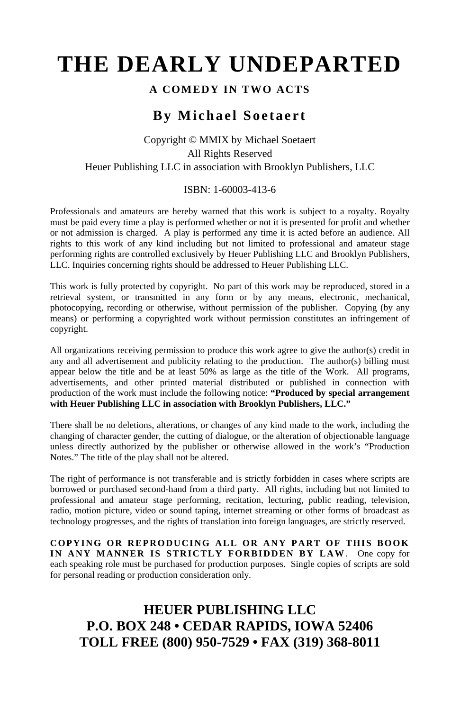# **THE DEARLY UNDEPARTED**

### **A COMEDY IN TWO ACTS**

## **By Michael Soetaert**

### Copyright © MMIX by Michael Soetaert All Rights Reserved Heuer Publishing LLC in association with Brooklyn Publishers, LLC

### ISBN: 1-60003-413-6

Professionals and amateurs are hereby warned that this work is subject to a royalty. Royalty must be paid every time a play is performed whether or not it is presented for profit and whether or not admission is charged. A play is performed any time it is acted before an audience. All rights to this work of any kind including but not limited to professional and amateur stage performing rights are controlled exclusively by Heuer Publishing LLC and Brooklyn Publishers, LLC. Inquiries concerning rights should be addressed to Heuer Publishing LLC.

This work is fully protected by copyright. No part of this work may be reproduced, stored in a retrieval system, or transmitted in any form or by any means, electronic, mechanical, photocopying, recording or otherwise, without permission of the publisher. Copying (by any means) or performing a copyrighted work without permission constitutes an infringement of copyright.

All organizations receiving permission to produce this work agree to give the author(s) credit in any and all advertisement and publicity relating to the production. The author(s) billing must appear below the title and be at least 50% as large as the title of the Work. All programs, advertisements, and other printed material distributed or published in connection with production of the work must include the following notice: **"Produced by special arrangement with Heuer Publishing LLC in association with Brooklyn Publishers, LLC."**

There shall be no deletions, alterations, or changes of any kind made to the work, including the changing of character gender, the cutting of dialogue, or the alteration of objectionable language unless directly authorized by the publisher or otherwise allowed in the work's "Production Notes." The title of the play shall not be altered.

The right of performance is not transferable and is strictly forbidden in cases where scripts are borrowed or purchased second-hand from a third party. All rights, including but not limited to professional and amateur stage performing, recitation, lecturing, public reading, television, radio, motion picture, video or sound taping, internet streaming or other forms of broadcast as technology progresses, and the rights of translation into foreign languages, are strictly reserved.

**COPYING OR REPRODUCING ALL OR ANY PART OF THIS BOOK IN ANY MANNER IS STRICTLY FORBIDDEN BY LAW**. One copy for each speaking role must be purchased for production purposes. Single copies of scripts are sold for personal reading or production consideration only.

# **HEUER PUBLISHING LLC P.O. BOX 248 • CEDAR RAPIDS, IOWA 52406 TOLL FREE (800) 950-7529 • FAX (319) 368-8011**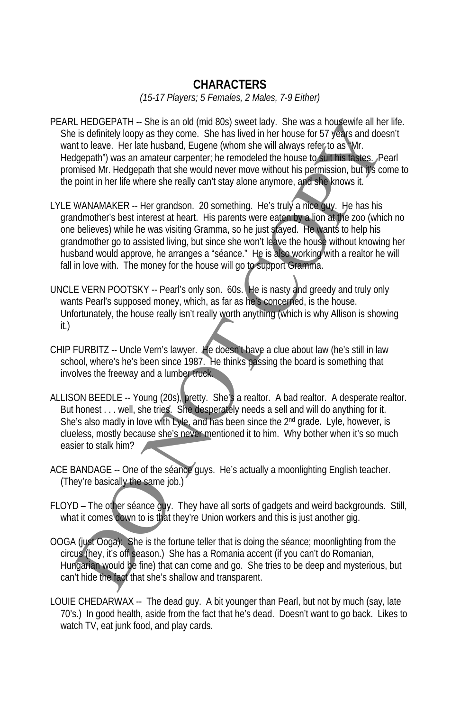### **CHARACTERS**

*(15-17 Players; 5 Females, 2 Males, 7-9 Either)* 

- PEARL HEDGEPATH -- She is an old (mid 80s) sweet lady. She was a housewife all her life. She is definitely loopy as they come. She has lived in her house for 57 years and doesn't want to leave. Her late husband, Eugene (whom she will always refer to as "Mr. Hedgepath") was an amateur carpenter; he remodeled the house to suit his tastes. Pearl promised Mr. Hedgepath that she would never move without his permission, but it's come to the point in her life where she really can't stay alone anymore, and she knows it.
- LYLE WANAMAKER -- Her grandson. 20 something. He's truly a nice guy. He has his grandmother's best interest at heart. His parents were eaten by a lion at the zoo (which no one believes) while he was visiting Gramma, so he just stayed. He wants to help his grandmother go to assisted living, but since she won't leave the house without knowing her husband would approve, he arranges a "séance." He is also working with a realtor he will fall in love with. The money for the house will go to support Gramma. Let HEDGEPATH - She is an old (mid 805) sweet lady. She was a housewife all help starts and the starts and the<br>is definitely loopy as they come. She has lived in her house for 57 years and doe<br>to loope. Her late lusband, E
- UNCLE VERN POOTSKY -- Pearl's only son. 60s. He is nasty and greedy and truly only wants Pearl's supposed money, which, as far as he's concerned, is the house. Unfortunately, the house really isn't really worth anything (which is why Allison is showing it.)
- CHIP FURBITZ -- Uncle Vern's lawyer. He doesn't have a clue about law (he's still in law school, where's he's been since 1987. He thinks passing the board is something that involves the freeway and a lumber truck.
- ALLISON BEEDLE -- Young (20s), pretty. She's a realtor. A bad realtor. A desperate realtor. But honest . . . well, she tries. She desperately needs a sell and will do anything for it. She's also madly in love with Lyle, and has been since the 2<sup>nd</sup> grade. Lyle, however, is clueless, mostly because she's never mentioned it to him. Why bother when it's so much easier to stalk him?
- ACE BANDAGE -- One of the séance guys. He's actually a moonlighting English teacher. (They're basically the same job.)
- FLOYD The other séance guy. They have all sorts of gadgets and weird backgrounds. Still, what it comes down to is that they're Union workers and this is just another gig.
- OOGA (just Ooga): She is the fortune teller that is doing the séance; moonlighting from the circus (hey, it's off season.) She has a Romania accent (if you can't do Romanian, Hungarian would be fine) that can come and go. She tries to be deep and mysterious, but can't hide the fact that she's shallow and transparent.
- LOUIE CHEDARWAX -- The dead guy. A bit younger than Pearl, but not by much (say, late 70's.) In good health, aside from the fact that he's dead. Doesn't want to go back. Likes to watch TV, eat junk food, and play cards.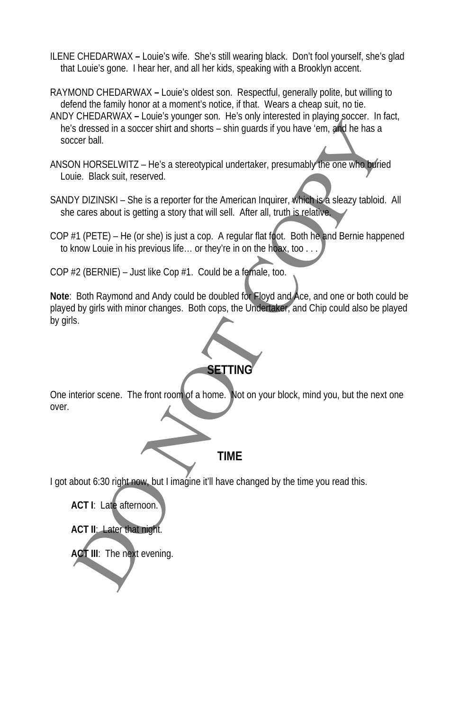- ILENE CHEDARWAXLouie's wife. She's still wearing black. Don't fool yourself, she's glad that Louie's gone. I hear her, and all her kids, speaking with a Brooklyn accent.
- RAYMOND CHEDARWAX **–** Louie's oldest son. Respectful, generally polite, but willing to defend the family honor at a moment's notice, if that. Wears a cheap suit, no tie.
- ANDY CHEDARWAX **–** Louie's younger son. He's only interested in playing soccer. In fact, he's dressed in a soccer shirt and shorts – shin guards if you have 'em, and he has a soccer ball.
- ANSON HORSELWITZ He's a stereotypical undertaker, presumably the one who buried Louie. Black suit, reserved.
- SANDY DIZINSKI She is a reporter for the American Inquirer, which is a sleazy tabloid. All she cares about is getting a story that will sell. After all, truth is relative.
- COP #1 (PETE) He (or she) is just a cop. A regular flat foot. Both he and Bernie happened to know Louie in his previous life… or they're in on the hoax, too . . .
- COP #2 (BERNIE) Just like Cop #1. Could be a female, too.

**Note**: Both Raymond and Andy could be doubled for Floyd and Ace, and one or both could be played by girls with minor changes. Both cops, the Undertaker, and Chip could also be played by girls. States dialects and a societies that and societies that societies that societies that societies that and shorts - shin guards if you have em, and he has a state to the American Inquirer, when the one who having the has a c

# **SETTING**

One interior scene. The front room of a home. Not on your block, mind you, but the next one over.

**TIME**

I got about 6:30 right now, but I imagine it'll have changed by the time you read this.



**ACT II**: Later that night.

**ACT III**: The next evening.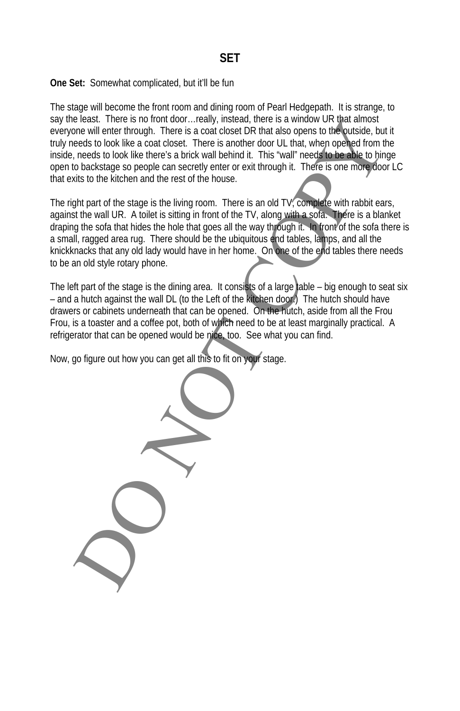### **One Set:** Somewhat complicated, but it'll be fun

The stage will become the front room and dining room of Pearl Hedgepath. It is strange, to say the least. There is no front door...really, instead, there is a window UR that almost everyone will enter through. There is a coat closet DR that also opens to the outside, but it truly needs to look like a coat closet. There is another door UL that, when opened from the inside, needs to look like there's a brick wall behind it. This "wall" needs to be able to hinge open to backstage so people can secretly enter or exit through it. There is one more door LC that exits to the kitchen and the rest of the house.

The right part of the stage is the living room. There is an old TV, complete with rabbit ears, against the wall UR. A toilet is sitting in front of the TV, along with a sofa. There is a blanket draping the sofa that hides the hole that goes all the way through it. In front of the sofa there is a small, ragged area rug. There should be the ubiquitous end tables, lamps, and all the knickknacks that any old lady would have in her home. On one of the end tables there needs to be an old style rotary phone. election there is no into the state of the state of the state of the state of the state of the state of the state of the state of the state of the state of the state of the state of the state of the state of the state of t

The left part of the stage is the dining area. It consists of a large table  $-$  big enough to seat six – and a hutch against the wall DL (to the Left of the kitchen door.) The hutch should have drawers or cabinets underneath that can be opened. On the hutch, aside from all the Frou Frou, is a toaster and a coffee pot, both of which need to be at least marginally practical. A refrigerator that can be opened would be nice, too. See what you can find.

Now, go figure out how you can get all this to fit on your stage.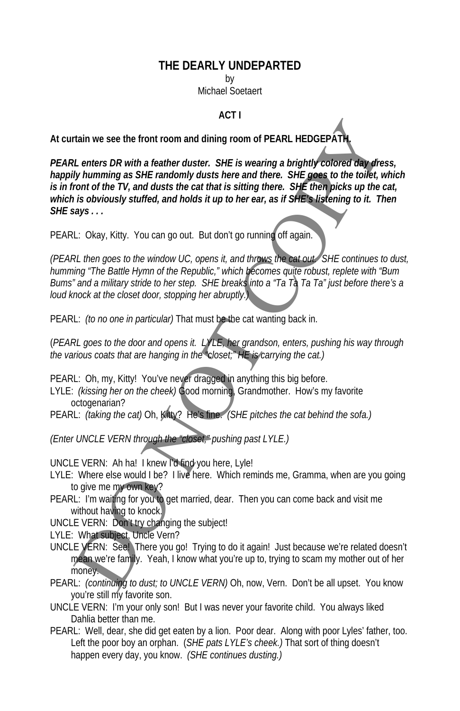### **THE DEARLY UNDEPARTED**

by

Michael Soetaert

### **ACT I**

**At curtain we see the front room and dining room of PEARL HEDGEPATH.** 

*PEARL enters DR with a feather duster. SHE is wearing a brightly colored day dress, happily humming as SHE randomly dusts here and there. SHE goes to the toilet, which is in front of the TV, and dusts the cat that is sitting there. SHE then picks up the cat, which is obviously stuffed, and holds it up to her ear, as if SHE's listening to it. Then SHE says . . .*  tain we see the front room and dining room of PEARL HEDGEPATH.<br>
IL enters DR with a feather duster. SHE is wearing a brightly colored day dress<br>
IL enters DR with a feather duster. SHE is wearing a brightly colored day dre

PEARL: Okay, Kitty. You can go out. But don't go running off again.

*(PEARL then goes to the window UC, opens it, and throws the cat out. SHE continues to dust, humming "The Battle Hymn of the Republic," which becomes quite robust, replete with "Bum Bums" and a military stride to her step. SHE breaks into a "Ta Ta Ta Ta" just before there's a loud knock at the closet door, stopping her abruptly.)* 

PEARL: *(to no one in particular)* That must be the cat wanting back in.

(*PEARL goes to the door and opens it. LYLE, her grandson, enters, pushing his way through the various coats that are hanging in the "closet;" HE is carrying the cat.)* 

PEARL: Oh, my, Kitty! You've never dragged in anything this big before.

LYLE: *(kissing her on the cheek)* Good morning, Grandmother. How's my favorite octogenarian?

PEARL: *(taking the cat)* Oh, Kitty? He's fine. *(SHE pitches the cat behind the sofa.)* 

*(Enter UNCLE VERN through the "closet," pushing past LYLE.)* 

UNCLE VERN: Ah ha! I knew I'd find you here, Lyle!

- LYLE: Where else would I be? I live here. Which reminds me, Gramma, when are you going to give me my own key?
- PEARL: I'm waiting for you to get married, dear. Then you can come back and visit me without having to knock.

UNCLE VERN: Don't try changing the subject!

LYLE: What subject, Uncle Vern?

- UNCLE VERN: See! There you go! Trying to do it again! Just because we're related doesn't mean we're family. Yeah, I know what you're up to, trying to scam my mother out of her money.
- PEARL: *(continuing to dust; to UNCLE VERN)* Oh, now, Vern. Don't be all upset. You know you're still my favorite son.
- UNCLE VERN: I'm your only son! But I was never your favorite child. You always liked Dahlia better than me.
- PEARL: Well, dear, she did get eaten by a lion. Poor dear. Along with poor Lyles' father, too. Left the poor boy an orphan. (*SHE pats LYLE's cheek.)* That sort of thing doesn't happen every day, you know. *(SHE continues dusting.)*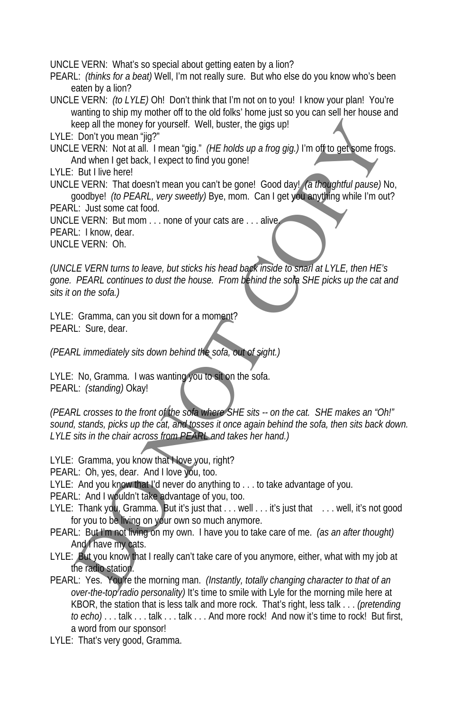UNCLE VERN: What's so special about getting eaten by a lion?

PEARL: *(thinks for a beat)* Well, I'm not really sure. But who else do you know who's been eaten by a lion?

UNCLE VERN: *(to LYLE)* Oh! Don't think that I'm not on to you! I know your plan! You're wanting to ship my mother off to the old folks' home just so you can sell her house and keep all the money for yourself. Well, buster, the gigs up!

LYLE: Don't you mean "jig?"

UNCLE VERN: Not at all. I mean "gig." *(HE holds up a frog gig.)* I'm off to get some frogs. And when I get back, I expect to find you gone!

- LYLE: But I live here!
- UNCLE VERN: That doesn't mean you can't be gone! Good day! *(a thoughtful pause)* No, goodbye! *(to PEARL, very sweetly)* Bye, mom. Can I get you anything while I'm out?
- PEARL: Just some cat food.

UNCLE VERN: But mom . . . none of your cats are . . . alive. PEARL: I know, dear.

UNCLE VERN: Oh.

*(UNCLE VERN turns to leave, but sticks his head back inside to snarl at LYLE, then HE's gone. PEARL continues to dust the house. From behind the sofa SHE picks up the cat and sits it on the sofa.)*  eep ail the monogroms of yourself. Well, buster, the gigs up!<br>
Don't you mean 'fig?' (*HE holds up a frog gig*) I'm of tho get some from<br>
the VERN: Not at all. I mean 'gig?' (*HE holds up a frog gig*) I'm of the get short

LYLE: Gramma, can you sit down for a moment? PEARL: Sure, dear.

*(PEARL immediately sits down behind the sofa, out of sight.)* 

LYLE: No, Gramma. I was wanting you to sit on the sofa. PEARL: *(standing)* Okay!

*(PEARL crosses to the front of the sofa where SHE sits -- on the cat. SHE makes an "Oh!" sound, stands, picks up the cat, and tosses it once again behind the sofa, then sits back down. LYLE sits in the chair across from PEARL and takes her hand.)* 

LYLE: Gramma, you know that Nove you, right?

PEARL: Oh, yes, dear. And I love you, too.

LYLE: And you know that I'd never do anything to . . . to take advantage of you.

PEARL: And I wouldn't take advantage of you, too.

- LYLE: Thank you, Gramma. But it's just that . . . well . . . it's just that . . . well, it's not good for you to be living on your own so much anymore.
- PEARL: But I'm not living on my own. I have you to take care of me. *(as an after thought)* And I have my cats.
- LYLE: But you know that I really can't take care of you anymore, either, what with my job at the radio station.
- PEARL: Yes. You're the morning man. *(Instantly, totally changing character to that of an over-the-top radio personality)* It's time to smile with Lyle for the morning mile here at KBOR, the station that is less talk and more rock. That's right, less talk . . . *(pretending to echo)* . . . talk . . . talk . . . talk . . . And more rock! And now it's time to rock! But first, a word from our sponsor!
- LYLE: That's very good, Gramma.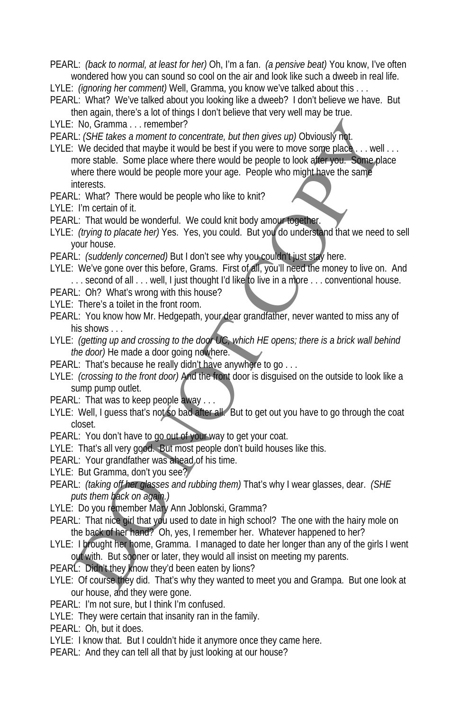PEARL: *(back to normal, at least for her)* Oh, I'm a fan. *(a pensive beat)* You know, I've often wondered how you can sound so cool on the air and look like such a dweeb in real life.

LYLE: *(ignoring her comment)* Well, Gramma, you know we've talked about this . . .

- PEARL: What? We've talked about you looking like a dweeb? I don't believe we have. But then again, there's a lot of things I don't believe that very well may be true.
- LYLE: No, Gramma . . . remember?

PEARL: *(SHE takes a moment to concentrate, but then gives up)* Obviously not.

LYLE: We decided that maybe it would be best if you were to move some place . . . well . . . more stable. Some place where there would be people to look after you. Some place where there would be people more your age. People who might have the same interests. No, *Gramma ...* remember  $P$ <br>
L: *GHE* lakes a moment to concentrate, but then gives up) Obviously int.<br>
L: *CHE* lakes a moment to concentrate, but then gives up) Obviously int.<br>
We decided that maybe it would be best i

PEARL: What? There would be people who like to knit?

LYLE: I'm certain of it.

- PEARL: That would be wonderful. We could knit body amour together.
- LYLE: *(trying to placate her)* Yes. Yes, you could. But you do understand that we need to sell your house.
- PEARL: *(suddenly concerned)* But I don't see why you couldn't just stay here.
- LYLE: We've gone over this before, Grams. First of all, you'll need the money to live on. And ... second of all ... well, I just thought I'd like to live in a more ... conventional house.
- PEARL: Oh? What's wrong with this house?
- LYLE: There's a toilet in the front room.
- PEARL: You know how Mr. Hedgepath, your dear grandfather, never wanted to miss any of his shows . . .
- LYLE: *(getting up and crossing to the door UC, which HE opens; there is a brick wall behind the door)* He made a door going nowhere.
- PEARL: That's because he really didn't have anywhere to go . . .
- LYLE: *(crossing to the front door)* And the front door is disguised on the outside to look like a sump pump outlet.
- PEARL: That was to keep people away . . .
- LYLE: Well, I guess that's not so bad after all. But to get out you have to go through the coat closet.
- PEARL: You don't have to go out of your way to get your coat.
- LYLE: That's all very good. But most people don't build houses like this.
- PEARL: Your grandfather was ahead of his time.
- LYLE: But Gramma, don't you see?
- PEARL: *(taking off her glasses and rubbing them)* That's why I wear glasses, dear. *(SHE puts them back on again.)*
- LYLE: Do you remember Mary Ann Joblonski, Gramma?
- PEARL: That nice girl that you used to date in high school? The one with the hairy mole on the back of her hand? Oh, yes, I remember her. Whatever happened to her?
- LYLE: I brought her home, Gramma. I managed to date her longer than any of the girls I went out with. But sooner or later, they would all insist on meeting my parents.
- PEARL: Didn't they know they'd been eaten by lions?
- LYLE: Of course they did. That's why they wanted to meet you and Grampa. But one look at our house, and they were gone.
- PEARL: I'm not sure, but I think I'm confused.
- LYLE: They were certain that insanity ran in the family.
- PEARL: Oh, but it does.
- LYLE: I know that. But I couldn't hide it anymore once they came here.
- PEARL: And they can tell all that by just looking at our house?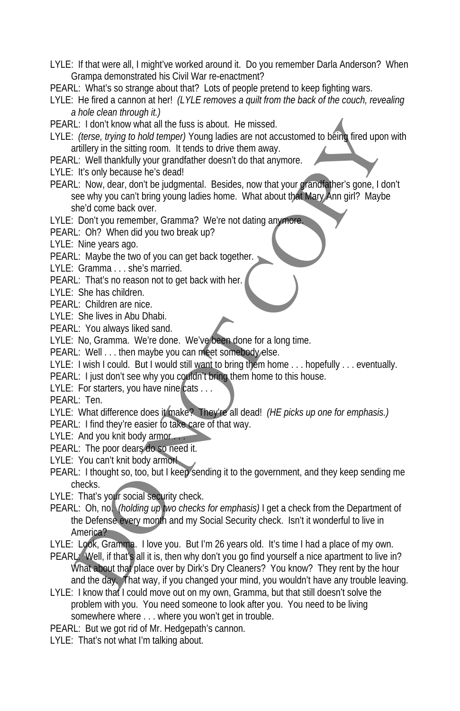- LYLE: If that were all, I might've worked around it. Do you remember Darla Anderson? When Grampa demonstrated his Civil War re-enactment?
- PEARL: What's so strange about that? Lots of people pretend to keep fighting wars.
- LYLE: He fired a cannon at her! *(LYLE removes a quilt from the back of the couch, revealing a hole clean through it.)*
- PEARL: I don't know what all the fuss is about. He missed.
- LYLE: *(terse, trying to hold temper)* Young ladies are not accustomed to being fired upon with artillery in the sitting room. It tends to drive them away.
- PEARL: Well thankfully your grandfather doesn't do that anymore.
- LYLE: It's only because he's dead!
- PEARL: Now, dear, don't be judgmental. Besides, now that your grandfather's gone, I don't see why you can't bring young ladies home. What about that Mary Ann girl? Maybe she'd come back over.
- LYLE: Don't you remember, Gramma? We're not dating anymore.
- PEARL: Oh? When did you two break up?
- LYLE: Nine years ago.
- PEARL: Maybe the two of you can get back together.
- LYLE: Gramma . . . she's married.
- PEARL: That's no reason not to get back with her.
- LYLE: She has children.
- PEARL: Children are nice.
- LYLE: She lives in Abu Dhabi.
- PEARL: You always liked sand.
- LYLE: No, Gramma. We're done. We've been done for a long time.
- PEARL: Well . . . then maybe you can meet somebody else.
- LYLE: I wish I could. But I would still want to bring them home . . . hopefully . . . eventually.
- PEARL: I just don't see why you couldn't bring them home to this house.
- LYLE: For starters, you have nine cats . . .
- PEARL: Ten.
- LYLE: What difference does it make? They're all dead! *(HE picks up one for emphasis.)*
- PEARL: I find they're easier to take care of that way.
- LYLE: And you knit body armor ...
- PEARL: The poor dears do so need it.
- LYLE: You can't knit body armor!
- PEARL: I thought so, too, but I keep sending it to the government, and they keep sending me checks.
- LYLE: That's your social security check.
- PEARL: Oh, no. *(holding up two checks for emphasis)* I get a check from the Department of the Defense every month and my Social Security check. Isn't it wonderful to live in America? L: I don't know what all the firsts is about. He missed.<br>
Let the many what all the firsts is about. He missed are not accustomed to be<br>finitely in the sliting room. It tends to drive them away.<br>
L: Now theat has the stat
- LYLE: Look, Gramma. I love you. But I'm 26 years old. It's time I had a place of my own.
- PEARL: Well, if that's all it is, then why don't you go find yourself a nice apartment to live in? What about that place over by Dirk's Dry Cleaners? You know? They rent by the hour and the day. That way, if you changed your mind, you wouldn't have any trouble leaving.
- LYLE: I know that I could move out on my own, Gramma, but that still doesn't solve the problem with you. You need someone to look after you. You need to be living somewhere where . . . where you won't get in trouble.
- PEARL: But we got rid of Mr. Hedgepath's cannon.
- LYLE: That's not what I'm talking about.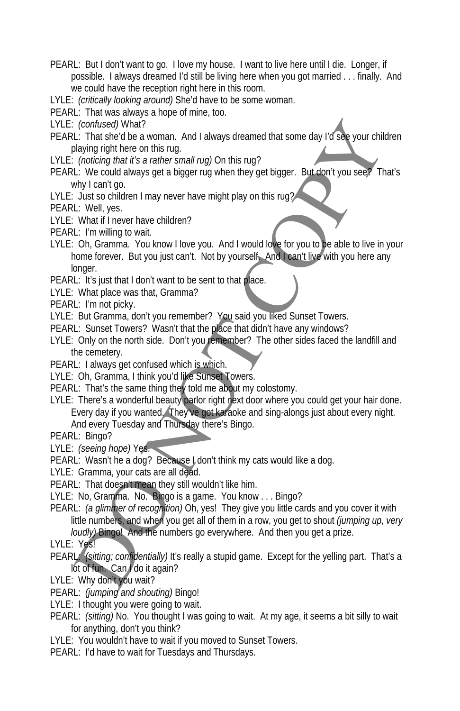PEARL: But I don't want to go. I love my house. I want to live here until I die. Longer, if possible. I always dreamed I'd still be living here when you got married . . . finally. And we could have the reception right here in this room.

LYLE: *(critically looking around)* She'd have to be some woman.

PEARL: That was always a hope of mine, too.

LYLE: *(confused)* What?

PEARL: That she'd be a woman. And I always dreamed that some day I'd see your children playing right here on this rug.

LYLE: *(noticing that it's a rather small rug)* On this rug?

PEARL: We could always get a bigger rug when they get bigger. But don't you see? That's why I can't go.

LYLE: Just so children I may never have might play on this rug?

PEARL: Well, yes.

LYLE: What if I never have children?

PEARL: I'm willing to wait.

LYLE: Oh, Gramma. You know I love you. And I would love for you to be able to live in your home forever. But you just can't. Not by yourself. And I can't live with you here any longer.

PEARL: It's just that I don't want to be sent to that place.

LYLE: What place was that, Gramma?

PEARL: I'm not picky.

LYLE: But Gramma, don't you remember? You said you liked Sunset Towers.

PEARL: Sunset Towers? Wasn't that the place that didn't have any windows?

LYLE: Only on the north side. Don't you remember? The other sides faced the landfill and the cemetery.

PEARL: I always get confused which is which.

LYLE: Oh, Gramma, I think you'd like Sunset Towers.

PEARL: That's the same thing they told me about my colostomy.

LYLE: There's a wonderful beauty parlor right next door where you could get your hair done. Every day if you wanted. They've got karaoke and sing-alongs just about every night.

And every Tuesday and Thursday there's Bingo.

PEARL: Bingo?

LYLE: *(seeing hope)* Yes.

PEARL: Wasn't he a dog? Because I don't think my cats would like a dog.

LYLE: Gramma, your cats are all dead.

PEARL: That doesn't mean they still wouldn't like him.

LYLE: No, Gramma. No. Bingo is a game. You know . . . Bingo?

PEARL: *(a glimmer of recognition)* Oh, yes! They give you little cards and you cover it with little numbers, and when you get all of them in a row, you get to shout *(jumping up, very loudly)* Bingo! And the numbers go everywhere. And then you get a prize. Continees/What?<br>
Continees/What?<br>
L: That sheel be a woman. And I always dreamed that some day I'd see your child<br>
Using right here on this rug.<br>
Concing that is a rather small rugi On this rug?<br>
Concing that is a rather s

LYLE: Yes!

PEARL: *(sitting; confidentially)* It's really a stupid game. Except for the yelling part. That's a lot of fun. Can do it again?

LYLE: Why don't you wait?

PEARL: *(jumping and shouting)* Bingo!

LYLE: I thought you were going to wait.

PEARL: *(sitting)* No. You thought I was going to wait. At my age, it seems a bit silly to wait for anything, don't you think?

LYLE: You wouldn't have to wait if you moved to Sunset Towers.

PEARL: I'd have to wait for Tuesdays and Thursdays.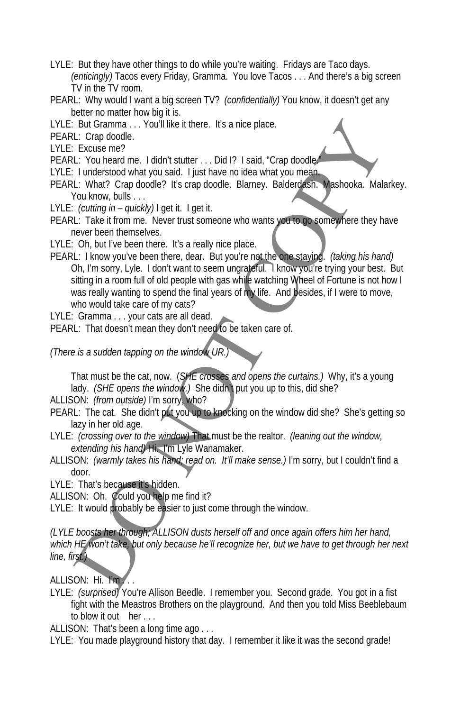- LYLE: But they have other things to do while you're waiting. Fridays are Taco days. *(enticingly)* Tacos every Friday, Gramma. You love Tacos . . . And there's a big screen TV in the TV room.
- PEARL: Why would I want a big screen TV? *(confidentially)* You know, it doesn't get any better no matter how big it is.
- LYLE: But Gramma . . . You'll like it there. It's a nice place.
- PEARL: Crap doodle.
- LYLE: Excuse me?
- PEARL: You heard me. I didn't stutter . . . Did I? I said, "Crap doodle.
- LYLE: I understood what you said. I just have no idea what you mean.
- PEARL: What? Crap doodle? It's crap doodle. Blarney. Balderdash. Mashooka. Malarkey. You know, bulls . . .
- LYLE: *(cutting in quickly)* I get it. I get it.
- PEARL: Take it from me. Never trust someone who wants you to go somewhere they have never been themselves.
- LYLE: Oh, but I've been there. It's a really nice place.
- PEARL: I know you've been there, dear. But you're not the one staying. *(taking his hand)* Oh, I'm sorry, Lyle. I don't want to seem ungrateful. I know you're trying your best. But sitting in a room full of old people with gas while watching Wheel of Fortune is not how I was really wanting to spend the final years of my life. And besides, if I were to move, who would take care of my cats? But Gramma....You'll like it there. It's a nice place.<br>
L: Crap doodle.<br>
L: You heard me. I didn't stutter ... Did 1? I said, "Crap doodle.<br>
L: What? Crap doodle? It's crap doodle. Blamey. Balderdesh, Make the Understood
- LYLE: Gramma . . . your cats are all dead.
- PEARL: That doesn't mean they don't need to be taken care of.

*(There is a sudden tapping on the window UR.)* 

That must be the cat, now. (*SHE crosses and opens the curtains.)* Why, it's a young lady. *(SHE opens the window.)* She didn't put you up to this, did she?

ALLISON: *(from outside)* I'm sorry, who?

- PEARL: The cat. She didn't put you up to knocking on the window did she? She's getting so lazy in her old age.
- LYLE: *(crossing over to the window)* That must be the realtor. *(leaning out the window, extending his hand)* Hi. I'm Lyle Wanamaker.
- ALLISON: *(warmly takes his hand; read on. It'll make sense.)* I'm sorry, but I couldn't find a door.

LYLE: That's because it's hidden.

ALLISON: Oh. Could you help me find it?

LYLE: It would probably be easier to just come through the window.

*(LYLE boosts her through; ALLISON dusts herself off and once again offers him her hand,*  which HE won't take, but only because he'll recognize her, but we have to get through her next *line, first.)* 

ALLISON: Hi. I'm ...

LYLE: *(surprised)* You're Allison Beedle. I remember you. Second grade. You got in a fist fight with the Meastros Brothers on the playground. And then you told Miss Beeblebaum to blow it out her . . .

ALLISON: That's been a long time ago . . .

LYLE: You made playground history that day. I remember it like it was the second grade!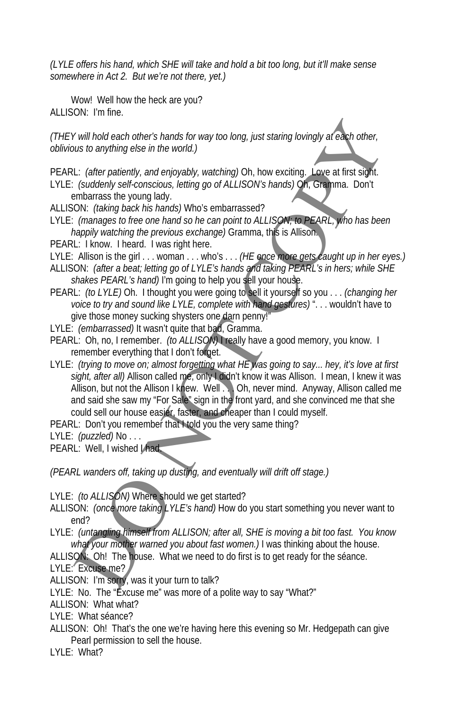*(LYLE offers his hand, which SHE will take and hold a bit too long, but it'll make sense somewhere in Act 2. But we're not there, yet.)* 

Wow! Well how the heck are you? ALLISON: I'm fine.

*(THEY will hold each other's hands for way too long, just staring lovingly at each other, oblivious to anything else in the world.)* 

PEARL: *(after patiently, and enjoyably, watching)* Oh, how exciting. Love at first sight. LYLE: *(suddenly self-conscious, letting go of ALLISON's hands)* Oh, Gramma. Don't embarrass the young lady.

- ALLISON: *(taking back his hands)* Who's embarrassed?
- LYLE: *(manages to free one hand so he can point to ALLISON; to PEARL, who has been happily watching the previous exchange)* Gramma, this is Allison.
- PEARL: I know. I heard. I was right here.

LYLE: Allison is the girl . . . woman . . . who's . . . *(HE once more gets caught up in her eyes.)* 

- ALLISON: *(after a beat; letting go of LYLE's hands and taking PEARL's in hers; while SHE shakes PEARL's hand)* I'm going to help you sell your house.
- PEARL: *(to LYLE)* Oh. I thought you were going to sell it yourself so you . . . *(changing her voice to try and sound like LYLE, complete with hand gestures)* ". . . wouldn't have to give those money sucking shysters one darn penny!"
- LYLE: *(embarrassed)* It wasn't quite that bad, Gramma.
- PEARL: Oh, no, I remember. *(to ALLISON)* I really have a good memory, you know. I remember everything that I don't forget.
- LYLE: *(trying to move on; almost forgetting what HE was going to say... hey, it's love at first*  sight, after all) Allison called me, only I didn't know it was Allison. I mean, I knew it was Allison, but not the Allison I knew. Well . . . Oh, never mind. Anyway, Allison called me and said she saw my "For Sale" sign in the front yard, and she convinced me that she could sell our house easier, faster, and cheaper than I could myself. If will hold each others hands for way too long, just staring lovingly af each other,<br>sus to anything else in the world.)<br>L: (after patiently, and enjoyably, watching) Oh, how exciting. Love at first sight.<br>Couldonly self-

PEARL: Don't you remember that I told you the very same thing?

LYLE: *(puzzled)* No . . .

PEARL: Well, I wished Lhad.

*(PEARL wanders off, taking up dusting, and eventually will drift off stage.)* 

LYLE: *(to ALLISON)* Where should we get started?

ALLISON: *(once more taking LYLE's hand)* How do you start something you never want to end?

LYLE: *(untangling himself from ALLISON; after all, SHE is moving a bit too fast. You know what your mother warned you about fast women.)* I was thinking about the house.

ALLISON: Oh! The house. What we need to do first is to get ready for the séance. LYLE: Excuse me?

ALLISON: I'm sorry, was it your turn to talk?

LYLE: No. The "Excuse me" was more of a polite way to say "What?"

ALLISON: What what?

LYLE: What séance?

ALLISON: Oh! That's the one we're having here this evening so Mr. Hedgepath can give Pearl permission to sell the house.

LYLE: What?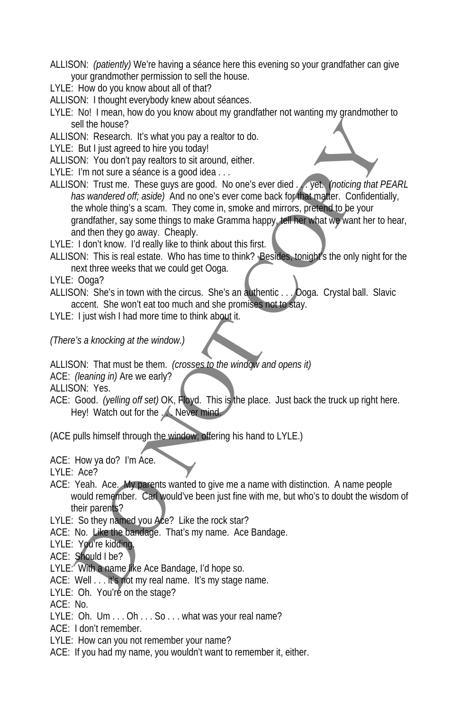- ALLISON: *(patiently)* We're having a séance here this evening so your grandfather can give your grandmother permission to sell the house.
- LYLE: How do you know about all of that?
- ALLISON: I thought everybody knew about séances.
- LYLE: No! I mean, how do you know about my grandfather not wanting my grandmother to sell the house?
- ALLISON: Research. It's what you pay a realtor to do.
- LYLE: But I just agreed to hire you today!
- ALLISON: You don't pay realtors to sit around, either.
- LYLE: I'm not sure a séance is a good idea . . .
- ALLISON: Trust me. These guys are good. No one's ever died . . . yet. *(noticing that PEARL has wandered off; aside)* And no one's ever come back for that matter. Confidentially, the whole thing's a scam. They come in, smoke and mirrors, pretend to be your grandfather, say some things to make Gramma happy, tell her what we want her to hear, and then they go away. Cheaply. sell the house?<br>
Solicity and the proposition of the production of the RON: You don't counter a searce is a good idea ...<br>
ON: You don't pay eal of the you lodgy!<br>
ON: Trust me. These guys are good. No ones ever died. ...
- LYLE: I don't know. I'd really like to think about this first.
- ALLISON: This is real estate. Who has time to think? Besides, tonight's the only night for the next three weeks that we could get Ooga.
- LYLE: Ooga?
- ALLISON: She's in town with the circus. She's an authentic . . . Ooga. Crystal ball. Slavic accent. She won't eat too much and she promises not to stay.
- LYLE: I just wish I had more time to think about it.
- *(There's a knocking at the window.)*
- ALLISON: That must be them. *(crosses to the window and opens it)*
- ACE: *(leaning in)* Are we early?
- ALLISON: Yes.
- ACE: Good. *(yelling off set)* OK, Floyd. This is the place. Just back the truck up right here. Hey! Watch out for the ... Never mind.

(ACE pulls himself through the window; offering his hand to LYLE.)

- ACE: How ya do? I'm Ace.
- LYLE: Ace?
- ACE: Yeah. Ace. My parents wanted to give me a name with distinction. A name people would remember. Carl would've been just fine with me, but who's to doubt the wisdom of their parents?
- LYLE: So they named you Ace? Like the rock star?
- ACE: No. Like the bandage. That's my name. Ace Bandage.
- LYLE: You're kidding.
- ACE: Should I be?
- LYLE: With a name like Ace Bandage, I'd hope so.
- ACE: Well . . . it's not my real name. It's my stage name.
- LYLE: Oh. You're on the stage?
- ACE: No.
- LYLE: Oh. Um . . . Oh . . . So . . . what was your real name?
- ACE: I don't remember.
- LYLE: How can you not remember your name?
- ACE: If you had my name, you wouldn't want to remember it, either.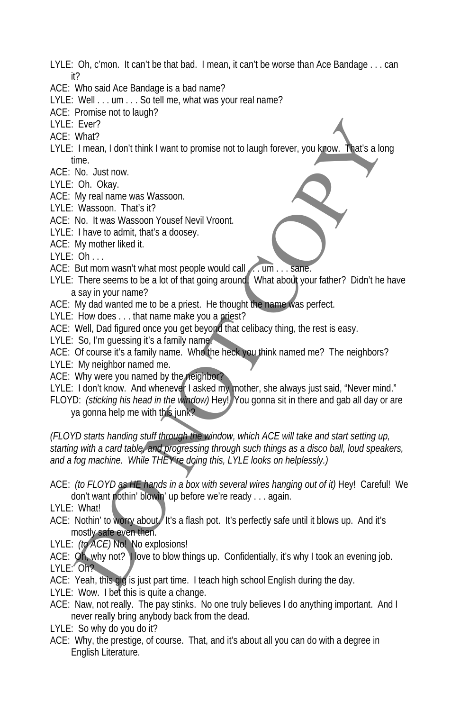- LYLE: Oh, c'mon. It can't be that bad. I mean, it can't be worse than Ace Bandage . . . can it?
- ACE: Who said Ace Bandage is a bad name?
- LYLE: Well . . . um . . . So tell me, what was your real name?
- ACE: Promise not to laugh?
- LYLE: Ever?
- ACE: What?
- LYLE: I mean, I don't think I want to promise not to laugh forever, you know. That's a long time.
- ACE: No. Just now.
- LYLE: Oh. Okay.
- ACE: My real name was Wassoon.
- LYLE: Wassoon. That's it?
- ACE: No. It was Wassoon Yousef Nevil Vroont.
- LYLE: I have to admit, that's a doosey.
- ACE: My mother liked it.
- LYLE: Oh . . .
- ACE: But mom wasn't what most people would call ... um . . . sane.
- LYLE: There seems to be a lot of that going around. What about your father? Didn't he have a say in your name?
- ACE: My dad wanted me to be a priest. He thought the name was perfect.
- LYLE: How does . . . that name make you a priest?
- ACE: Well, Dad figured once you get beyond that celibacy thing, the rest is easy.
- LYLE: So, I'm quessing it's a family name!
- ACE: Of course it's a family name. Who the heck you think named me? The neighbors?
- LYLE: My neighbor named me.
- ACE: Why were you named by the neighbor?
- LYLE: I don't know. And whenever I asked my mother, she always just said, "Never mind."
- FLOYD: *(sticking his head in the window)* Hey! You gonna sit in there and gab all day or are ya gonna help me with this junk?

*(FLOYD starts handing stuff through the window, which ACE will take and start setting up, starting with a card table, and progressing through such things as a disco ball, loud speakers, and a fog machine. While THEY're doing this, LYLE looks on helplessly.)*  Ever?<br>
What?<br>
What?<br>
I mean, I dont think I want to promise not to laugh forever, you know. That's a lot<br>
On. Oksy.<br>
On. Oksy.<br>
We note that we say assoon. Yousef Nevil Vroont.<br>
When there is a division of Yousef Nevil Vro

ACE: *(to FLOYD as HE hands in a box with several wires hanging out of it)* Hey! Careful! We don't want nothin' blowin' up before we're ready . . . again.

LYLE: What!

- ACE: Nothin' to worry about. It's a flash pot. It's perfectly safe until it blows up. And it's mostly safe even then.
- LYLE: *(to ACE)* No! No explosions!
- ACE: Oh, why not? I love to blow things up. Confidentially, it's why I took an evening job. LYLE: Oh?
- ACE: Yeah, this gig is just part time. I teach high school English during the day.
- LYLE: Wow. I bet this is quite a change.
- ACE: Naw, not really. The pay stinks. No one truly believes I do anything important. And I never really bring anybody back from the dead.
- LYLE: So why do you do it?
- ACE: Why, the prestige, of course. That, and it's about all you can do with a degree in English Literature.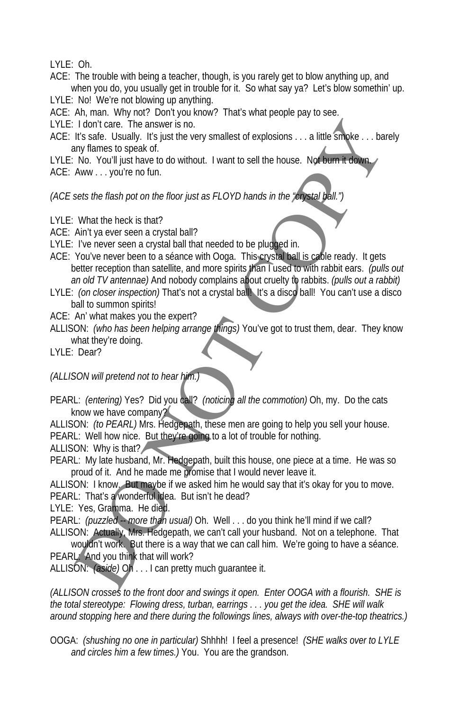LYLE: Oh.

- ACE: The trouble with being a teacher, though, is you rarely get to blow anything up, and when you do, you usually get in trouble for it. So what say ya? Let's blow somethin' up.
- LYLE: No! We're not blowing up anything.
- ACE: Ah, man. Why not? Don't you know? That's what people pay to see.
- LYLE: I don't care. The answer is no.
- ACE: It's safe. Usually. It's just the very smallest of explosions . . . a little smoke . . . barely any flames to speak of.
- LYLE: No. You'll just have to do without. I want to sell the house. Not burn it down ACE: Aww . . . you're no fun.

*(ACE sets the flash pot on the floor just as FLOYD hands in the "crystal ball.")* 

- LYLE: What the heck is that?
- ACE: Ain't ya ever seen a crystal ball?
- LYLE: I've never seen a crystal ball that needed to be plugged in.
- ACE: You've never been to a séance with Ooga. This crystal ball is cable ready. It gets better reception than satellite, and more spirits than I used to with rabbit ears. *(pulls out an old TV antennae)* And nobody complains about cruelty to rabbits. *(pulls out a rabbit)* If done care. The answer is no.<br>
It's safe. Usually, It's just the very smallest of explosions ... a little smallest stage. Usually stare to smalle the very smallest of explosions ... a little smaller through the stare to
- LYLE: *(on closer inspection)* That's not a crystal ball! It's a disco ball! You can't use a disco ball to summon spirits!
- ACE: An' what makes you the expert?
- ALLISON: *(who has been helping arrange things)* You've got to trust them, dear. They know what they're doing.

LYLE: Dear?

*(ALLISON will pretend not to hear him.)* 

PEARL: *(entering)* Yes? Did you call? *(noticing all the commotion)* Oh, my. Do the cats know we have company?

ALLISON: *(to PEARL)* Mrs. Hedgepath, these men are going to help you sell your house. PEARL: Well how nice. But they're going to a lot of trouble for nothing.

ALLISON: Why is that?

PEARL: My late husband, Mr. Hedgepath, built this house, one piece at a time. He was so proud of it. And he made me promise that I would never leave it.

ALLISON: I know. But maybe if we asked him he would say that it's okay for you to move. PEARL: That's a wonderful idea. But isn't he dead?

LYLE: Yes, Gramma. He died.

PEARL: *(puzzled -- more than usual)* Oh. Well ... do you think he'll mind if we call? ALLISON: Actually, Mrs. Hedgepath, we can't call your husband. Not on a telephone. That wouldn't work. But there is a way that we can call him. We're going to have a séance.

PEARL: And you think that will work?

ALLISON: *(aside)* Oh . . . I can pretty much guarantee it.

*(ALLISON crosses to the front door and swings it open. Enter OOGA with a flourish. SHE is the total stereotype: Flowing dress, turban, earrings . . . you get the idea. SHE will walk around stopping here and there during the followings lines, always with over-the-top theatrics.)* 

OOGA: *(shushing no one in particular)* Shhhh! I feel a presence! *(SHE walks over to LYLE and circles him a few times.)* You. You are the grandson.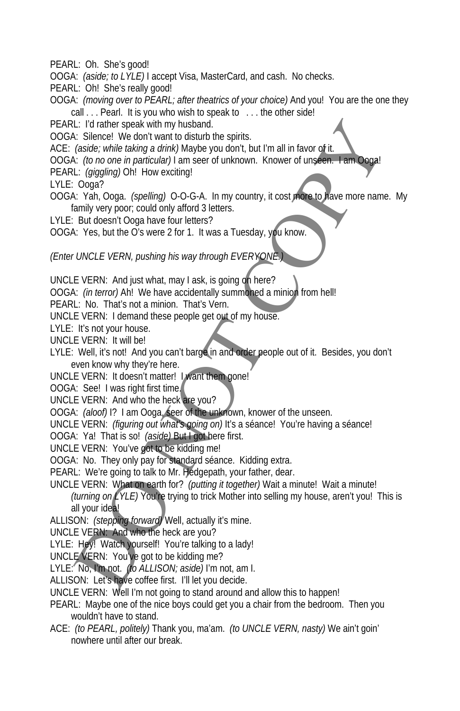PEARL: Oh. She's good!

- OOGA: *(aside; to LYLE)* I accept Visa, MasterCard, and cash. No checks.
- PEARL: Oh! She's really good!
- OOGA: *(moving over to PEARL; after theatrics of your choice)* And you! You are the one they call . . . Pearl. It is you who wish to speak to . . . the other side!
- PEARL: I'd rather speak with my husband.
- OOGA: Silence! We don't want to disturb the spirits.
- ACE: *(aside; while taking a drink)* Maybe you don't, but I'm all in favor of it.
- OOGA: *(to no one in particular)* I am seer of unknown. Knower of unseen. I am Ooga!
- PEARL: *(giggling)* Oh! How exciting!
- LYLE: Ooga?
- OOGA: Yah, Ooga. *(spelling)* O-O-G-A. In my country, it cost more to have more name. My family very poor; could only afford 3 letters.
- LYLE: But doesn't Ooga have four letters?
- OOGA: Yes, but the O's were 2 for 1. It was a Tuesday, you know.

*(Enter UNCLE VERN, pushing his way through EVERYONE.)* 

- UNCLE VERN: And just what, may I ask, is going on here?
- OOGA: *(in terror)* Ah! We have accidentally summoned a minion from hell!
- PEARL: No. That's not a minion. That's Vern.
- UNCLE VERN: I demand these people get out of my house.
- LYLE: It's not your house.
- UNCLE VERN: It will be!
- LYLE: Well, it's not! And you can't barge in and order people out of it. Besides, you don't even know why they're here.
- UNCLE VERN: It doesn't matter! I want them gone!
- OOGA: See! I was right first time.
- UNCLE VERN: And who the heck are you?
- OOGA: *(aloof)* I? I am Ooga, seer of the unknown, knower of the unseen.
- UNCLE VERN: *(figuring out what's going on)* It's a séance! You're having a séance!
- OOGA: Ya! That is so! *(aside)* But I got here first.
- UNCLE VERN: You've got to be kidding me!
- OOGA: No. They only pay for standard séance. Kidding extra.
- PEARL: We're going to talk to Mr. Hedgepath, your father, dear.
- UNCLE VERN: What on earth for? *(putting it together)* Wait a minute! Wait a minute! *(turning on LYLE)* You're trying to trick Mother into selling my house, aren't you! This is all your idea! L: Yi rather speak with my hustand<br>
V. Silence! We don't want bo disturb the spirits.<br>
(aside: while taking a drink) Maybe you don't, but I'm all in favor of it.<br>
(aside: while taking a drink) Maybe you don't, but I'm all
- ALLISON: *(stepping forward)* Well, actually it's mine.
- UNCLE VERN: And who the heck are you?
- LYLE: Hey! Watch yourself! You're talking to a lady!
- UNCLE VERN: You've got to be kidding me?
- LYLE: No, I'm not. *(to ALLISON; aside)* I'm not, am I.
- ALLISON: Let's have coffee first. I'll let you decide.
- UNCLE VERN: Well I'm not going to stand around and allow this to happen!
- PEARL: Maybe one of the nice boys could get you a chair from the bedroom. Then you wouldn't have to stand.
- ACE: *(to PEARL, politely)* Thank you, ma'am. *(to UNCLE VERN, nasty)* We ain't goin' nowhere until after our break.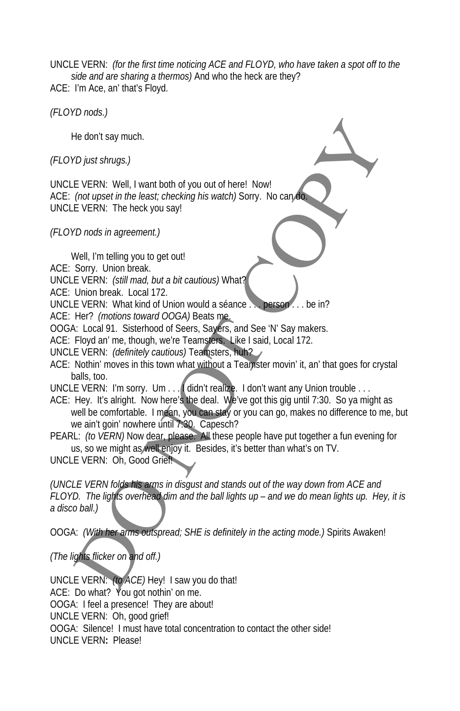UNCLE VERN: *(for the first time noticing ACE and FLOYD, who have taken a spot off to the side and are sharing a thermos)* And who the heck are they? ACE: I'm Ace, an' that's Floyd.

*(FLOYD nods.)* 

He don't say much.

*(FLOYD just shrugs.)* 

UNCLE VERN: Well, I want both of you out of here! Now! ACE: *(not upset in the least; checking his watch)* Sorry. No can do. UNCLE VERN: The heck you say!

*(FLOYD nods in agreement.)* 

Well, I'm telling you to get out!

ACE: Sorry. Union break.

UNCLE VERN: *(still mad, but a bit cautious)* What?

ACE: Union break. Local 172.

UNCLE VERN: What kind of Union would a séance.

ACE: Her? *(motions toward OOGA)* Beats me.

OOGA: Local 91. Sisterhood of Seers, Sayers, and See 'N' Say makers.

ACE: Floyd an' me, though, we're Teamsters. Like I said, Local 172.

UNCLE VERN: *(definitely cautious)* Teamsters, huh?

ACE: Nothin' moves in this town what without a Teamster movin' it, an' that goes for crystal balls, too.

UNCLE VERN: I'm sorry. Um . . . I didn't realize. I don't want any Union trouble . . .

ACE: Hey. It's alright. Now here's the deal. We've got this gig until 7:30. So ya might as well be comfortable. I mean, you can stay or you can go, makes no difference to me, but we ain't goin' nowhere until 7:30. Capesch?

PEARL: *(to VERN)* Now dear, please. All these people have put together a fun evening for us, so we might as well enjoy it. Besides, it's better than what's on TV.

UNCLE VERN: Oh, Good Grief!

*(UNCLE VERN folds his arms in disgust and stands out of the way down from ACE and FLOYD. The lights overhead dim and the ball lights up – and we do mean lights up. Hey, it is a disco ball.)*  He don't say much.<br>
(Digits shrugs.)<br>
L'O just shrugs.)<br>
L'O just shrugs.)<br>
(not upset in the least; checking his watch) Sorry. No can also<br>
(not upset in the least; checking his watch) Sorry. No can also<br>
UPM (I'm telling

OOGA: *(With her arms outspread; SHE is definitely in the acting mode.)* Spirits Awaken!

*(The lights flicker on and off.)* 

UNCLE VERN: *(to ACE)* Hey! I saw you do that! ACE: Do what? You got nothin' on me. OOGA: I feel a presence! They are about! UNCLE VERN: Oh, good grief! OOGA: Silence! I must have total concentration to contact the other side! UNCLE VERN**:** Please!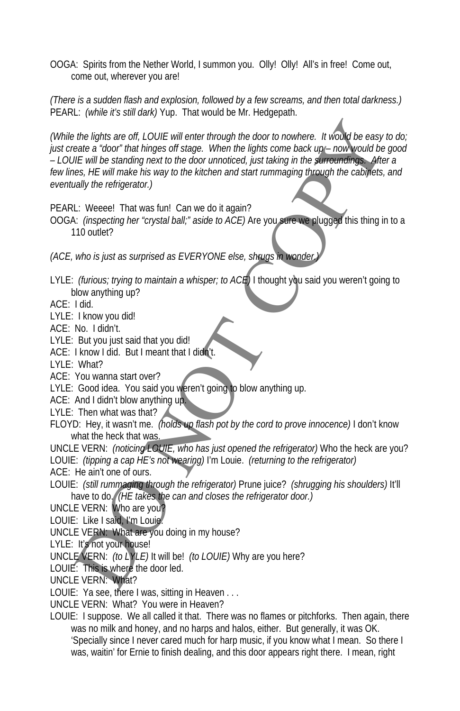OOGA: Spirits from the Nether World, I summon you. Olly! Olly! All's in free! Come out, come out, wherever you are!

*(There is a sudden flash and explosion, followed by a few screams, and then total darkness.)*  PEARL: *(while it's still dark)* Yup. That would be Mr. Hedgepath.

*(While the lights are off, LOUIE will enter through the door to nowhere. It would be easy to do; just create a "door" that hinges off stage. When the lights come back up – now would be good – LOUIE will be standing next to the door unnoticed, just taking in the surroundings. After a*  few lines, HE will make his way to the kitchen and start rummaging through the cabinets, and *eventually the refrigerator.)*  the lights are off. LOUIE will enter through the door to nowhere. It would be easy<br>eate a 'door' that hinges off stage. When the lights come back up-now yould be<br>file will be starding neut to the door unnoticed, just lakin

PEARL: Weeee! That was fun! Can we do it again?

OOGA: *(inspecting her "crystal ball;" aside to ACE)* Are you sure we plugged this thing in to a 110 outlet?

*(ACE, who is just as surprised as EVERYONE else, shrugs in wonder* 

LYLE: *(furious; trying to maintain a whisper; to ACE)* I thought you said you weren't going to blow anything up?

ACE: I did.

- LYLE: I know you did!
- ACE: No. I didn't.
- LYLE: But you just said that you did!
- ACE: I know I did. But I meant that I didn't.
- LYLE:What?
- ACE: You wanna start over?
- LYLE: Good idea. You said you weren't going to blow anything up.
- ACE: And I didn't blow anything up.

LYLE: Then what was that?

FLOYD: Hey, it wasn't me. *(holds up flash pot by the cord to prove innocence)* I don't know what the heck that was.

UNCLE VERN: *(noticing LOUIE, who has just opened the refrigerator)* Who the heck are you? LOUIE: *(tipping a cap HE's not wearing)* I'm Louie. *(returning to the refrigerator)* 

ACE: He ain't one of ours.

LOUIE: *(still rummaging through the refrigerator)* Prune juice? *(shrugging his shoulders)* It'll have to do. *(HE takes the can and closes the refrigerator door.)* 

UNCLE VERN: Who are you?

LOUIE: Like I said, I'm Louie.

UNCLE VERN: What are you doing in my house?

LYLE: It's not your house!

- UNCLE VERN: *(to LYLE)* It will be! *(to LOUIE)* Why are you here?
- LOUIE: This is where the door led.

UNCLE VERN: What?

LOUIE: Ya see, there I was, sitting in Heaven . . .

UNCLE VERN: What? You were in Heaven?

LOUIE: I suppose. We all called it that. There was no flames or pitchforks. Then again, there was no milk and honey, and no harps and halos, either. But generally, it was OK. 'Specially since I never cared much for harp music, if you know what I mean. So there I was, waitin' for Ernie to finish dealing, and this door appears right there. I mean, right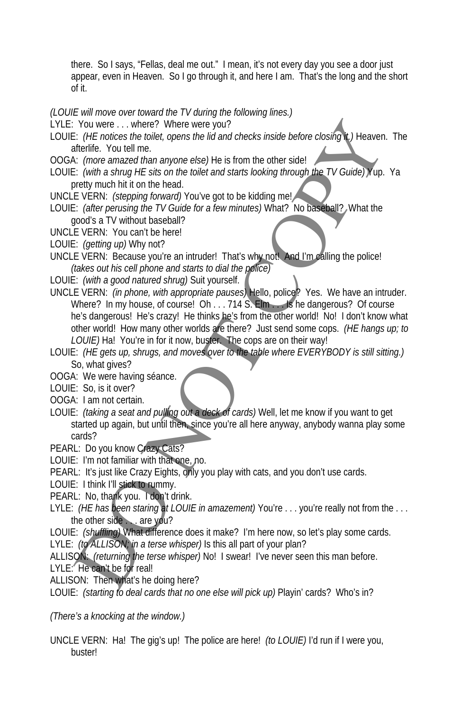there. So I says, "Fellas, deal me out." I mean, it's not every day you see a door just appear, even in Heaven. So I go through it, and here I am. That's the long and the short of it.

*(LOUIE will move over toward the TV during the following lines.)* 

- LYLE: You were . . . where? Where were you?
- LOUIE: *(HE notices the toilet, opens the lid and checks inside before closing it.)* Heaven. The afterlife. You tell me.
- OOGA: *(more amazed than anyone else)* He is from the other side!
- LOUIE: *(with a shrug HE sits on the toilet and starts looking through the TV Guide)* Yup. Ya pretty much hit it on the head.
- UNCLE VERN: *(stepping forward)* You've got to be kidding me!
- LOUIE: *(after perusing the TV Guide for a few minutes)* What? No baseball? What the good's a TV without baseball?
- UNCLE VERN: You can't be here!
- LOUIE: *(getting up)* Why not?
- UNCLE VERN: Because you're an intruder! That's why not! And I'm calling the police! *(takes out his cell phone and starts to dial the police)*
- LOUIE: *(with a good natured shrug)* Suit yourself.
- UNCLE VERN: *(in phone, with appropriate pauses)* Hello, police? Yes. We have an intruder. Where? In my house, of course! Oh . . . 714 S. Elm . . . Is he dangerous? Of course he's dangerous! He's crazy! He thinks he's from the other world! No! I don't know what other world! How many other worlds are there? Just send some cops. *(HE hangs up; to LOUIE)* Ha! You're in for it now, buster. The cops are on their way! You were ... where? Where were you?<br>
You were ... where were you?<br>
E: (*HE notices the totel, opens the lid and checks inside before closing* **V**) Heaven.<br>
there anazed than anyone else) He is from the other sidel<br>
the *Co*
- LOUIE: *(HE gets up, shrugs, and moves over to the table where EVERYBODY is still sitting.)* So, what gives?
- OOGA: We were having séance.
- LOUIE: So, is it over?
- OOGA: I am not certain.
- LOUIE: *(taking a seat and pulling out a deck of cards)* Well, let me know if you want to get started up again, but until then, since you're all here anyway, anybody wanna play some cards?
- PEARL: Do you know Crazy Cats?
- LOUIE: I'm not familiar with that one, no.
- PEARL: It's just like Crazy Eights, only you play with cats, and you don't use cards.
- LOUIE: I think I'll stick to rummy.
- PEARL: No, thank you. I don't drink.
- LYLE: *(HE has been staring at LOUIE in amazement)* You're . . . you're really not from the . . . the other side . . . are you?
- LOUIE: *(shuffling)* What difference does it make? I'm here now, so let's play some cards.
- LYLE: *(to ALLISON; in a terse whisper)* Is this all part of your plan?
- ALLISON: *(returning the terse whisper)* No! I swear! I've never seen this man before.
- LYLE: He can't be for real!
- ALLISON: Then what's he doing here?

LOUIE: *(starting to deal cards that no one else will pick up)* Playin' cards? Who's in?

*(There's a knocking at the window.)* 

UNCLE VERN: Ha! The gig's up! The police are here! *(to LOUIE)* I'd run if I were you, buster!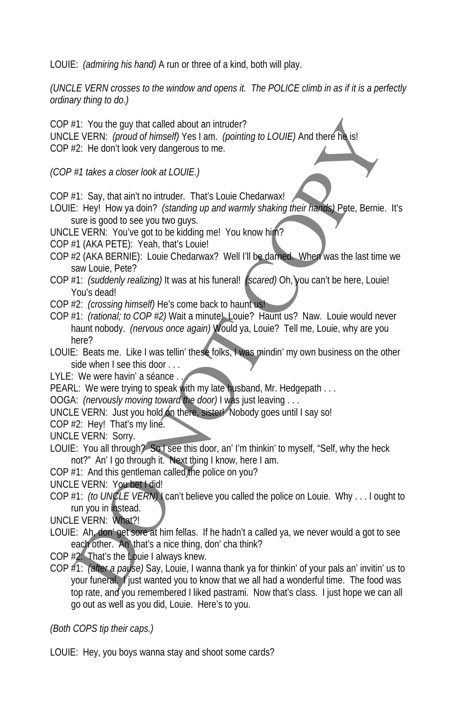LOUIE: *(admiring his hand)* A run or three of a kind, both will play.

*(UNCLE VERN crosses to the window and opens it. The POLICE climb in as if it is a perfectly ordinary thing to do.)* 

COP #1: You the guy that called about an intruder? UNCLE VERN: *(proud of himself)* Yes I am. *(pointing to LOUIE)* And there h COP #2: He don't look very dangerous to me.

*(COP #1 takes a closer look at LOUIE.)* 

COP #1: Say, that ain't no intruder. That's Louie Chedarwax!

- LOUIE: Hey! How ya doin? *(standing up and warmly shaking their hands)* Pete, Bernie. It's sure is good to see you two guys.
- UNCLE VERN: You've got to be kidding me! You know him?
- COP #1 (AKA PETE): Yeah, that's Louie!
- COP #2 (AKA BERNIE): Louie Chedarwax? Well I'll be darned. When was the last time we saw Louie, Pete?
- COP #1: *(suddenly realizing)* It was at his funeral! *(scared)* Oh, you can't be here, Louie! You's dead!
- COP #2: *(crossing himself)* He's come back to haunt us!
- COP #1: *(rational; to COP #2)* Wait a minute! Louie? Haunt us? Naw. Louie would never haunt nobody. *(nervous once again)* Would ya, Louie? Tell me, Louie, why are you here? Fix You the guy that called about an intruder?<br>EVERN: (proud of himself) Yest am. (pointing to LOUIE) And there in stars is the UV (provide of three incomes<br>EVERN: (provide of the stars to the content of the stars of the s
- LOUIE: Beats me. Like I was tellin' these folks, I was mindin' my own business on the other side when I see this door . . .
- LYLE: We were havin' a séance . . .
- PEARL: We were trying to speak with my late husband, Mr. Hedgepath . . .
- OOGA: *(nervously moving toward the door)* I was just leaving . . .
- UNCLE VERN: Just you hold on there, sister! Nobody goes until I say so!
- COP #2: Hey! That's my line.
- UNCLE VERN: Sorry.
- LOUIE: You all through? So I see this door, an' I'm thinkin' to myself, "Self, why the heck not?" An' I go through it. Next thing I know, here I am.
- COP #1: And this gentleman called the police on you?
- UNCLE VERN: You bett did!
- COP #1: *(to UNCLE VERN)* I can't believe you called the police on Louie. Why . . . I ought to run you in instead.
- UNCLE VERN: What?!
- LOUIE: Ah, don' get sore at him fellas. If he hadn't a called ya, we never would a got to see each other. An' that's a nice thing, don' cha think?
- COP #2: That's the Louie I always knew.
- COP #1: *(after a pause)* Say, Louie, I wanna thank ya for thinkin' of your pals an' invitin' us to your funeral. I just wanted you to know that we all had a wonderful time. The food was top rate, and you remembered I liked pastrami. Now that's class. I just hope we can all go out as well as you did, Louie. Here's to you.

*(Both COPS tip their caps.)* 

LOUIE: Hey, you boys wanna stay and shoot some cards?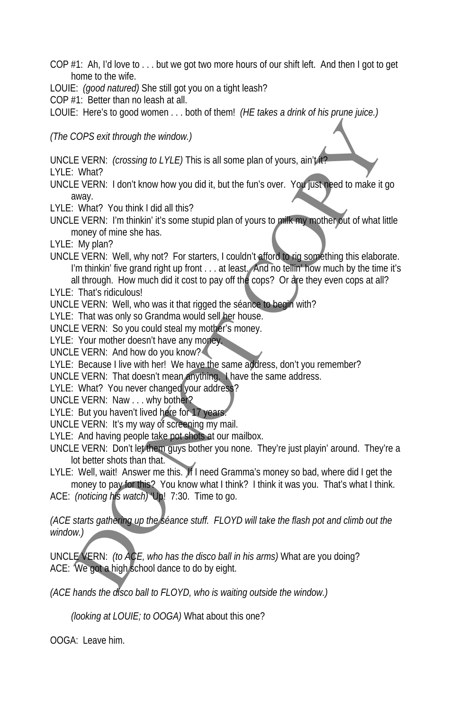- COP #1: Ah, I'd love to . . . but we got two more hours of our shift left. And then I got to get home to the wife.
- LOUIE: *(good natured)* She still got you on a tight leash?
- COP #1: Better than no leash at all.
- LOUIE: Here's to good women . . . both of them! *(HE takes a drink of his prune juice.)*

*(The COPS exit through the window.)* 

UNCLE VERN: *(crossing to LYLE)* This is all some plan of yours, ain't it?

LYLE: What?

UNCLE VERN: I don't know how you did it, but the fun's over. You just need to make it go away.

- LYLE:What? You think I did all this?
- UNCLE VERN: I'm thinkin' it's some stupid plan of yours to milk my mother out of what little money of mine she has.
- LYLE: My plan?
- UNCLE VERN: Well, why not? For starters, I couldn't afford to rig something this elaborate. I'm thinkin' five grand right up front . . . at least. And no tellin' how much by the time it's all through. How much did it cost to pay off the cops? Or are they even cops at all? COPS exit through the window.)<br>
EVERN: (crossing to LYLE) This is all some plan of yours, ain't with the What?<br>
EVERN: I don't know how you did it, but the fun's over. You fusi-<br>
New What?<br>
What? You think it dd all this?<br>
- LYLE: That's ridiculous!
- UNCLE VERN: Well, who was it that rigged the séance to begin with?
- LYLE: That was only so Grandma would sell her house.

UNCLE VERN: So you could steal my mother's money.

LYLE: Your mother doesn't have any money.

UNCLE VERN: And how do you know?

LYLE: Because I live with her! We have the same address, don't you remember?

UNCLE VERN: That doesn't mean anything. I have the same address.

LYLE: What? You never changed your address?

UNCLE VERN: Naw . . . why bother?

LYLE: But you haven't lived here for 17 years.

UNCLE VERN: It's my way of screening my mail.

- LYLE: And having people take pot shots at our mailbox.
- UNCLE VERN: Don't let them guys bother you none. They're just playin' around. They're a lot better shots than that.
- LYLE: Well, wait! Answer me this. If I need Gramma's money so bad, where did I get the money to pay for this? You know what I think? I think it was you. That's what I think.

ACE: *(noticing his watch)* 'Up! 7:30. Time to go.

*(ACE starts gathering up the séance stuff. FLOYD will take the flash pot and climb out the window.)* 

UNCLE VERN: *(to ACE, who has the disco ball in his arms)* What are you doing? ACE: We got a high school dance to do by eight.

*(ACE hands the disco ball to FLOYD, who is waiting outside the window.)* 

*(looking at LOUIE; to OOGA)* What about this one?

OOGA: Leave him.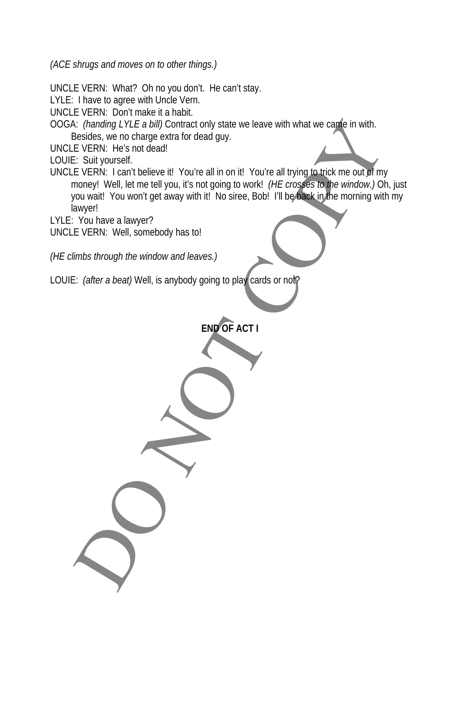*(ACE shrugs and moves on to other things.)* 

UNCLE VERN: What? Oh no you don't. He can't stay. LYLE: I have to agree with Uncle Vern. UNCLE VERN: Don't make it a habit. OOGA: *(handing LYLE a bill)* Contract only state we leave with what we came in with. Besides, we no charge extra for dead guy. UNCLE VERN: He's not dead! LOUIE: Suit yourself. UNCLE VERN: I can't believe it! You're all in on it! You're all trying to trick me out of my money! Well, let me tell you, it's not going to work! *(HE crosses to the window.)* Oh, just you wait! You won't get away with it! No siree, Bob! I'll be back in the morning with my lawyer! LYLE:You have a lawyer? UNCLE VERN: Well, somebody has to! *(HE climbs through the window and leaves.)*  LOUIE: *(after a beat)* Well, is anybody going to play cards or not? **END OF ACT I** C (*Panding LYLE a bill)* Contract only state we leave with what we capte in with.<br>
Captistics, we no charge extra for dead guy.<br>
E VERN: He's not dead!<br>
L' SULY guyself.<br>
L' SULY guyself.<br>
L' SULY guyself.<br>
L' VERN: L' ca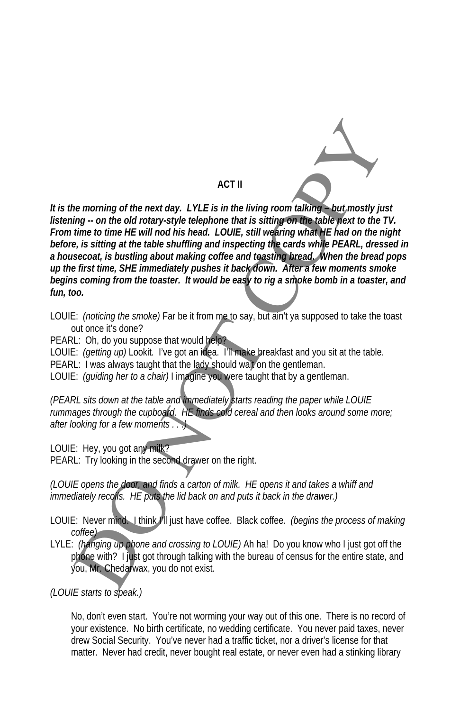

### **ACT II**

*It is the morning of the next day. LYLE is in the living room talking – but mostly just listening -- on the old rotary-style telephone that is sitting on the table next to the TV. From time to time HE will nod his head. LOUIE, still wearing what HE had on the night before, is sitting at the table shuffling and inspecting the cards while PEARL, dressed in a housecoat, is bustling about making coffee and toasting bread. When the bread pops up the first time, SHE immediately pushes it back down. After a few moments smoke begins coming from the toaster. It would be easy to rig a smoke bomb in a toaster, and fun, too.*  ACT II<br>
the morning of the next day. LYLE is in the living room talking - but, mostly jut<br>
ing - on the old rotary-style lelephone that is still negrom the basic peak to the e.<br>
If the to time HE will nod his head. LOUIE,

- LOUIE: *(noticing the smoke)* Far be it from me to say, but ain't ya supposed to take the toast out once it's done?
- PEARL: Oh, do you suppose that would help?
- LOUIE: *(getting up)* Lookit. I've got an idea. I'll make breakfast and you sit at the table.
- PEARL: I was always taught that the lady should wait on the gentleman.
- LOUIE: *(guiding her to a chair)* I imagine you were taught that by a gentleman.

*(PEARL sits down at the table and immediately starts reading the paper while LOUIE rummages through the cupboard. HE finds cold cereal and then looks around some more; after looking for a few moments . . .)* 

LOUIE: Hey, you got any milk?

PEARL: Try looking in the second drawer on the right.

*(LOUIE opens the door, and finds a carton of milk. HE opens it and takes a whiff and immediately recoils. HE puts the lid back on and puts it back in the drawer.)* 

LOUIE: Never mind. I think I'll just have coffee. Black coffee. *(begins the process of making coffee)* 

LYLE: *(hanging up phone and crossing to LOUIE)* Ah ha! Do you know who I just got off the phone with? I just got through talking with the bureau of census for the entire state, and you, Mr. Chedarwax, you do not exist.

*(LOUIE starts to speak.)* 

No, don't even start. You're not worming your way out of this one. There is no record of your existence. No birth certificate, no wedding certificate. You never paid taxes, never drew Social Security. You've never had a traffic ticket, nor a driver's license for that matter. Never had credit, never bought real estate, or never even had a stinking library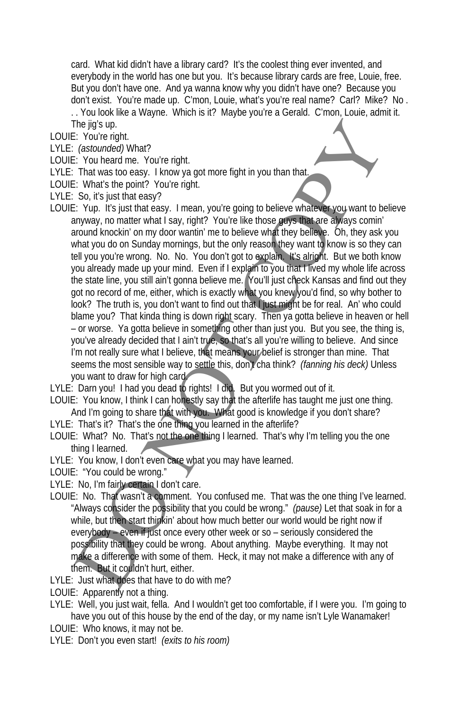card. What kid didn't have a library card? It's the coolest thing ever invented, and everybody in the world has one but you. It's because library cards are free, Louie, free. But you don't have one. And ya wanna know why you didn't have one? Because you don't exist. You're made up. C'mon, Louie, what's you're real name? Carl? Mike? No . . . You look like a Wayne. Which is it? Maybe you're a Gerald. C'mon, Louie, admit it.

The jig's up.

LOUIE: You're right.

- LYLE: *(astounded)* What?
- LOUIE: You heard me. You're right.
- LYLE: That was too easy. I know ya got more fight in you than that.
- LOUIE: What's the point? You're right.
- LYLE: So, it's just that easy?
- LOUIE: Yup. It's just that easy. I mean, you're going to believe whatever you want to believe anyway, no matter what I say, right? You're like those guys that are always comin' around knockin' on my door wantin' me to believe what they believe. Oh, they ask you what you do on Sunday mornings, but the only reason they want to know is so they can tell you you're wrong. No. No. You don't got to explain. It's alright. But we both know you already made up your mind. Even if I explain to you that I lived my whole life across the state line, you still ain't gonna believe me. You'll just check Kansas and find out they got no record of me, either, which is exactly what you knew you'd find, so why bother to look? The truth is, you don't want to find out that I just might be for real. An' who could blame you? That kinda thing is down right scary. Then ya gotta believe in heaven or hell – or worse. Ya gotta believe in something other than just you. But you see, the thing is, you've already decided that I ain't true, so that's all you're willing to believe. And since I'm not really sure what I believe, that means your belief is stronger than mine. That seems the most sensible way to settle this, don't cha think? *(fanning his deck)* Unless you want to draw for high card. The given up of the state and more than the state of the state of the state of the state of the state of the state of the state of the state of the state of the state of the state of the state of the state of the state of

LYLE: Darn you! I had you dead to rights! I did. But you wormed out of it.

- LOUIE: You know, I think I can honestly say that the afterlife has taught me just one thing. And I'm going to share that with you. What good is knowledge if you don't share?
- LYLE: That's it? That's the one thing you learned in the afterlife?
- LOUIE: What? No. That's not the one thing I learned. That's why I'm telling you the one thing I learned.
- LYLE: You know, I don't even care what you may have learned.
- LOUIE: "You could be wrong."
- LYLE: No, I'm fairly certain I don't care.
- LOUIE: No. That wasn't a comment. You confused me. That was the one thing I've learned. "Always consider the possibility that you could be wrong." *(pause)* Let that soak in for a while, but then start thinkin' about how much better our world would be right now if everybody – even if just once every other week or so – seriously considered the possibility that they could be wrong. About anything. Maybe everything. It may not make a difference with some of them. Heck, it may not make a difference with any of them. But it couldn't hurt, either.
- LYLE: Just what does that have to do with me?
- LOUIE: Apparently not a thing.
- LYLE: Well, you just wait, fella. And I wouldn't get too comfortable, if I were you. I'm going to have you out of this house by the end of the day, or my name isn't Lyle Wanamaker!
- LOUIE: Who knows, it may not be.
- LYLE: Don't you even start! *(exits to his room)*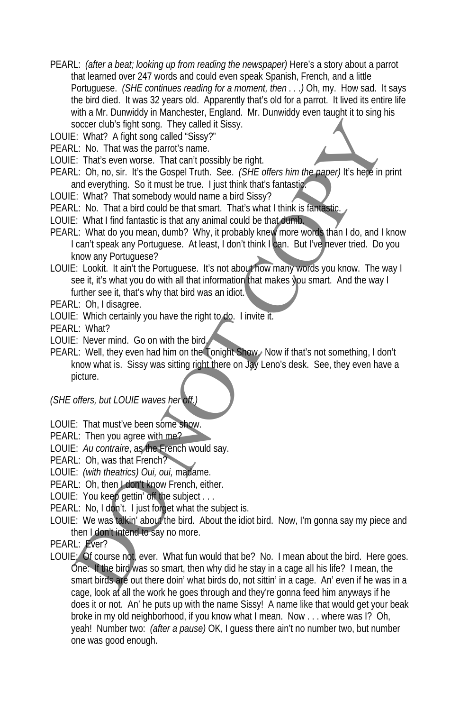- PEARL: *(after a beat; looking up from reading the newspaper)* Here's a story about a parrot that learned over 247 words and could even speak Spanish, French, and a little Portuguese. *(SHE continues reading for a moment, then . . .)* Oh, my. How sad. It says the bird died. It was 32 years old. Apparently that's old for a parrot. It lived its entire life with a Mr. Dunwiddy in Manchester, England. Mr. Dunwiddy even taught it to sing his soccer club's fight song. They called it Sissy.
- LOUIE: What? A fight song called "Sissy?"
- PEARL: No. That was the parrot's name.
- LOUIE: That's even worse. That can't possibly be right.
- PEARL: Oh, no, sir. It's the Gospel Truth. See. *(SHE offers him the paper)* It's here in print and everything. So it must be true. I just think that's fantastic.
- LOUIE: What? That somebody would name a bird Sissy?
- PEARL: No. That a bird could be that smart. That's what I think is fantastic.
- LOUIE: What I find fantastic is that any animal could be that dumb.
- PEARL: What do you mean, dumb? Why, it probably knew more words than I do, and I know I can't speak any Portuguese. At least, I don't think I can. But I've never tried. Do you know any Portuguese?
- LOUIE: Lookit. It ain't the Portuguese. It's not about how many words you know. The way I see it, it's what you do with all that information that makes you smart. And the way I further see it, that's why that bird was an idiot.
- PEARL: Oh, I disagree.
- LOUIE: Which certainly you have the right to do. I invite it.
- PEARL: What?
- LOUIE: Never mind. Go on with the bird.
- PEARL: Well, they even had him on the Tonight Show. Now if that's not something, I don't know what is. Sissy was sitting right there on Jay Leno's desk. See, they even have a picture.

### *(SHE offers, but LOUIE waves her off.)*

- LOUIE: That must've been some show.
- PEARL: Then you agree with me?
- LOUIE: *Au contraire*, as the French would say.
- PEARL: Oh, was that French?
- LOUIE: *(with theatrics) Oui, oui,* madame.
- PEARL: Oh, then I don't know French, either.
- LOUIE: You keep gettin' off the subject . . .
- PEARL: No, I don't. I just forget what the subject is.
- LOUIE: We was talkin' about the bird. About the idiot bird. Now, I'm gonna say my piece and then I don't intend to say no more.
- PEARL: Ever?
- LOUIE: Of course not, ever. What fun would that be? No. I mean about the bird. Here goes. One: If the bird was so smart, then why did he stay in a cage all his life? I mean, the smart birds are out there doin' what birds do, not sittin' in a cage. An' even if he was in a cage, look at all the work he goes through and they're gonna feed him anyways if he does it or not. An' he puts up with the name Sissy! A name like that would get your beak broke in my old neighborhood, if you know what I mean. Now . . . where was I? Oh, yeah! Number two: *(after a pause)* OK, I guess there ain't no number two, but number one was good enough. society fight sing isotop and the predilet Sissy.<br>
E: What? A fight song called "Sissy?<br>
E: Non. That was the parrot's name.<br>
E: That's even worse. That can be true. Itsic for Gore I function<br>
Lt. Do, no, sir. It's the Gos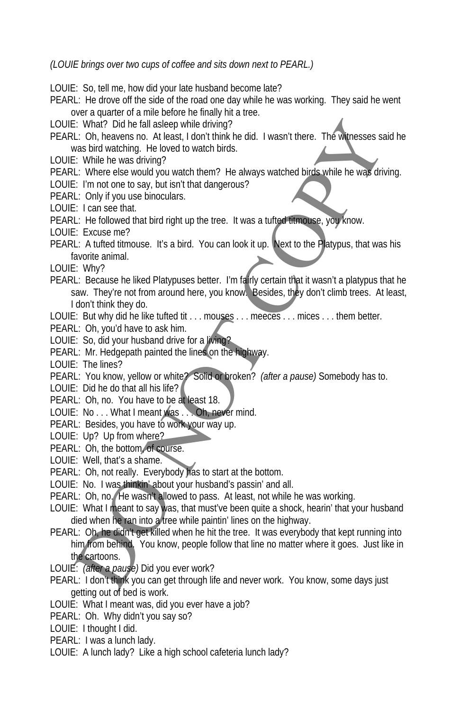*(LOUIE brings over two cups of coffee and sits down next to PEARL.)* 

LOUIE: So, tell me, how did your late husband become late?

- PEARL: He drove off the side of the road one day while he was working. They said he went over a quarter of a mile before he finally hit a tree.
- LOUIE: What? Did he fall asleep while driving?
- PEARL: Oh, heavens no. At least, I don't think he did. I wasn't there. The witnesses said he was bird watching. He loved to watch birds.
- LOUIE: While he was driving?
- PEARL: Where else would you watch them? He always watched birds while he was driving.
- LOUIE: I'm not one to say, but isn't that dangerous?
- PEARL: Only if you use binoculars.
- LOUIE: I can see that.
- PEARL: He followed that bird right up the tree. It was a tufted titmouse, you know.
- LOUIE: Excuse me?
- PEARL: A tufted titmouse. It's a bird. You can look it up. Next to the Platypus, that was his favorite animal.
- LOUIE: Why?
- PEARL: Because he liked Platypuses better. I'm fairly certain that it wasn't a platypus that he saw. They're not from around here, you know. Besides, they don't climb trees. At least, I don't think they do. E: What? Did he fall saleep while driving?<br>
E: what? Did he fall sales while the bigger work?<br>
L: Oh, heavens no. At least, I don't think he did. I wasn't there. The winesses sa<br>
was bird watching. He loved to watch think
- LOUIE: But why did he like tufted tit . . . mouses . . . meeces . . . mices . . . them better.
- PEARL: Oh, you'd have to ask him.
- LOUIE: So, did your husband drive for a living?
- PEARL: Mr. Hedgepath painted the lines on the highway.
- LOUIE: The lines?
- PEARL: You know, yellow or white? Solid or broken? *(after a pause)* Somebody has to.
- LOUIE: Did he do that all his life?
- PEARL: Oh, no. You have to be at least 18.
- LOUIE: No . . . What I meant was . . . Oh, never mind.
- PEARL: Besides, you have to work your way up.
- LOUIE: Up? Up from where?
- PEARL: Oh, the bottom, of course.
- LOUIE: Well, that's a shame.
- PEARL: Oh, not really. Everybody has to start at the bottom.
- LOUIE: No. I was thinkin' about your husband's passin' and all.
- PEARL: Oh, no. He wasn't allowed to pass. At least, not while he was working.
- LOUIE: What I meant to say was, that must've been quite a shock, hearin' that your husband died when he ran into a tree while paintin' lines on the highway.
- PEARL: Oh, he didn't get killed when he hit the tree. It was everybody that kept running into him from behind. You know, people follow that line no matter where it goes. Just like in the cartoons.
- LOUIE: *(after a pause)* Did you ever work?
- PEARL: I don't think you can get through life and never work. You know, some days just getting out of bed is work.
- LOUIE: What I meant was, did you ever have a job?
- PEARL: Oh. Why didn't you say so?
- LOUIE: I thought I did.
- PEARL: I was a lunch lady.
- LOUIE: A lunch lady? Like a high school cafeteria lunch lady?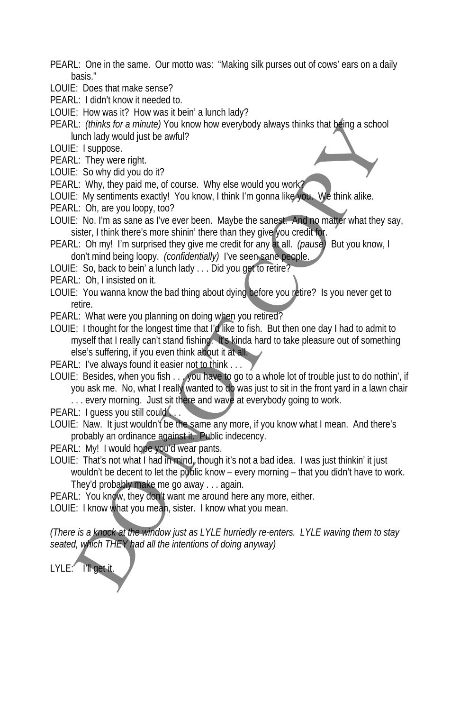- PEARL: One in the same. Our motto was: "Making silk purses out of cows' ears on a daily basis."
- LOUIE: Does that make sense?
- PEARL: I didn't know it needed to.
- LOUIE: How was it? How was it bein' a lunch lady?
- PEARL: *(thinks for a minute)* You know how everybody always thinks that being a school lunch lady would just be awful?
- LOUIE: I suppose.
- PEARL: They were right.
- LOUIE: So why did you do it?
- PEARL: Why, they paid me, of course. Why else would you work?
- LOUIE: My sentiments exactly! You know, I think I'm gonna like you. We think alike.
- PEARL: Oh, are you loopy, too?
- LOUIE: No. I'm as sane as I've ever been. Maybe the sanest. And no matter what they say, sister, I think there's more shinin' there than they give you credit for.
- PEARL: Oh my! I'm surprised they give me credit for any at all. *(pause)* But you know, I don't mind being loopy. *(confidentially)* I've seen sane people.
- LOUIE: So, back to bein' a lunch lady . . . Did you get to retire?
- PEARL: Oh, I insisted on it.
- LOUIE: You wanna know the bad thing about dying before you retire? Is you never get to retire.
- PEARL: What were you planning on doing when you retired?
- LOUIE: I thought for the longest time that I'd like to fish. But then one day I had to admit to myself that I really can't stand fishing. It's kinda hard to take pleasure out of something else's suffering, if you even think about it at all. L: (minks for a minute) You know how everybody always thinks that being a schoof<br>unch lady would just be awful?<br>
L: They were right.<br>
L: They were right.<br>
L: On, are you loogy too?<br>
L: Why, they paid me, of course. Why els
- PEARL: I've always found it easier not to think . . .
- LOUIE: Besides, when you fish . . . you have to go to a whole lot of trouble just to do nothin', if you ask me. No, what I really wanted to do was just to sit in the front yard in a lawn chair ... every morning. Just sit there and wave at everybody going to work.
- PEARL: I guess you still could.
- LOUIE: Naw. It just wouldn't be the same any more, if you know what I mean. And there's probably an ordinance against it. Public indecency.
- PEARL: My! I would hope you'd wear pants.
- LOUIE: That's not what I had in mind, though it's not a bad idea. I was just thinkin' it just wouldn't be decent to let the public know – every morning – that you didn't have to work. They'd probably make me go away . . . again.
- PEARL: You know, they don't want me around here any more, either.
- LOUIE: I know what you mean, sister. I know what you mean.

*(There is a knock at the window just as LYLE hurriedly re-enters. LYLE waving them to stay seated, which THEY had all the intentions of doing anyway)* 

LYLE: I'll get it.